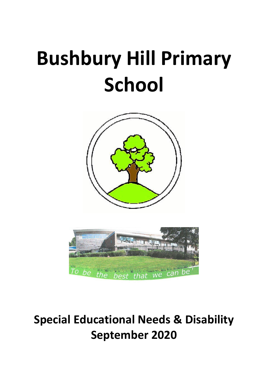# **Bushbury Hill Primary School**





# **Special Educational Needs & Disability September 2020**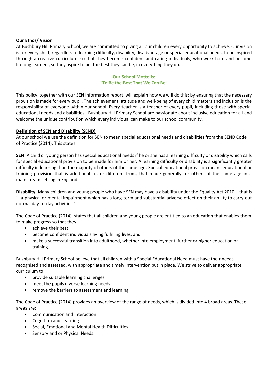## **Our Ethos/ Vision**

At Bushbury Hill Primary School, we are committed to giving all our children every opportunity to achieve. Our vision is for every child, regardless of learning difficulty, disability, disadvantage or special educational needs, to be inspired through a creative curriculum, so that they become confident and caring individuals, who work hard and become lifelong learners, so they aspire to be, the best they can be, in everything they do.

## **Our School Motto is: "To Be the Best That We Can Be"**

This policy, together with our SEN Information report, will explain how we will do this; by ensuring that the necessary provision is made for every pupil. The achievement, attitude and well-being of every child matters and inclusion is the responsibility of everyone within our school. Every teacher is a teacher of every pupil, including those with special educational needs and disabilities. Bushbury Hill Primary School are passionate about inclusive education for all and welcome the unique contribution which every individual can make to our school community.

# **Definition of SEN and Disability (SEND)**

At our school we use the definition for SEN to mean special educational needs and disabilities from the SEND Code of Practice (2014). This states:

**SEN**: A child or young person has special educational needs if he or she has a learning difficulty or disability which calls for special educational provision to be made for him or her. A learning difficulty or disability is a significantly greater difficulty in learning than the majority of others of the same age. Special educational provision means educational or training provision that is additional to, or different from, that made generally for others of the same age in a mainstream setting in England.

**Disability:** Many children and young people who have SEN may have a disability under the Equality Act 2010 – that is '…a physical or mental impairment which has a long-term and substantial adverse effect on their ability to carry out normal day-to-day activities.'

The Code of Practice (2014), states that all children and young people are entitled to an education that enables them to make progress so that they:

- achieve their best
- become confident individuals living fulfilling lives, and
- make a successful transition into adulthood, whether into employment, further or higher education or training.

Bushbury Hill Primary School believe that all children with a Special Educational Need must have their needs recognised and assessed, with appropriate and timely intervention put in place. We strive to deliver appropriate curriculum to:

- provide suitable learning challenges
- meet the pupils diverse learning needs
- remove the barriers to assessment and learning

The Code of Practice (2014) provides an overview of the range of needs, which is divided into 4 broad areas. These areas are:

- Communication and Interaction
- Cognition and Learning
- Social, Emotional and Mental Health Difficulties
- Sensory and or Physical Needs.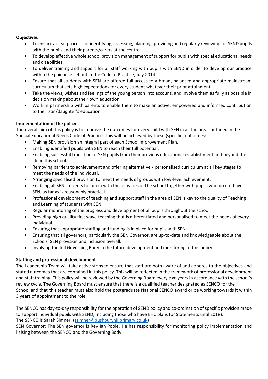## **Objectives**

- To ensure a clear process for identifying, assessing, planning, providing and regularly reviewing for SEND pupils with the pupils and their parents/carers at the centre.
- To develop effective whole school provision management of support for pupils with special educational needs and disabilities.
- To deliver training and support for all staff working with pupils with SEND in order to develop our practice within the guidance set out in the Code of Practice, July 2014.
- Ensure that all students with SEN are offered full access to a broad, balanced and appropriate mainstream curriculum that sets high expectations for every student whatever their prior attainment.
- Take the views, wishes and feelings of the young person into account, and involve them as fully as possible in decision making about their own education.
- Work in partnership with parents to enable them to make an active, empowered and informed contribution to their son/daughter's education.

# **Implementation of the policy**:

The overall aim of this policy is to improve the outcomes for every child with SEN in all the areas outlined in the Special Educational Needs Code of Practice. This will be achieved by these (specific) outcomes:

- Making SEN provision an integral part of each School Improvement Plan.
- Enabling identified pupils with SEN to reach their full potential.
- Enabling successful transition of SEN pupils from their previous educational establishment and beyond their life in this school.
- Removing barriers to achievement and offering alternative / personalised curriculum at all key stages to meet the needs of the individual.
- Arranging specialised provision to meet the needs of groups with low-level achievement.
- Enabling all SEN students to join in with the activities of the school together with pupils who do not have SEN, as far as is reasonably practical.
- Professional development of teaching and support staff in the area of SEN is key to the quality of Teaching and Learning of students with SEN.
- Regular monitoring of the progress and development of all pupils throughout the school.
- Providing high quality first wave teaching that is differentiated and personalised to meet the needs of every individual.
- Ensuring that appropriate staffing and funding is in place for pupils with SEN.
- Ensuring that all governors, particularly the SEN Governor, are up-to-date and knowledgeable about the Schools' SEN provision and inclusion overall.
- Involving the full Governing Body in the future development and monitoring of this policy.

# **Staffing and professional development**

The Leadership Team will take active steps to ensure that staff are both aware of and adheres to the objectives and stated outcomes that are contained in this policy. This will be reflected in the framework of professional development and staff training. This policy will be reviewed by the Governing Board every two years in accordance with the school's review cycle. The Governing Board must ensure that there is a qualified teacher designated as SENCO for the School and that this teacher must also hold the postgraduate National SENCO award or be working towards it within 3 years of appointment to the role.

The SENCO has day-to-day responsibility for the operation of SEND policy and co-ordination of specific provision made to support individual pupils with SEND, including those who have EHC plans (or Statements until 2018). The SENCO is Sarah Simner. [\(ssimner@bushburyhillprimary.co.uk\)](mailto:ssimner@bushburyhillprimary.co.uk)

SEN Governor: The SEN governor is Rev Ian Poole. He has responsibility for monitoring policy implementation and liaising between the SENCO and the Governing Body.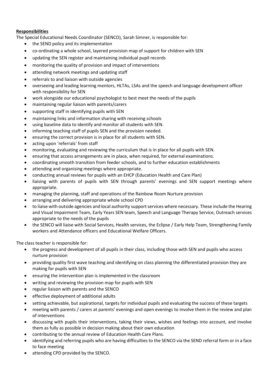# **Responsibilities**

The Special Educational Needs Coordinator (SENCO), Sarah Simner, is responsible for:

- the SEND policy and its implementation
- co-ordinating a whole school, layered provision map of support for children with SEN
- updating the SEN register and maintaining individual pupil records
- monitoring the quality of provision and impact of interventions
- attending network meetings and updating staff
- referrals to and liaison with outside agencies
- overseeing and leading learning mentors, HLTAs, LSAs and the speech and language development officer with responsibility for SEN
- work alongside our educational psychologist to best meet the needs of the pupils
- maintaining regular liaison with parents/carers
- supporting staff in identifying pupils with SEN
- maintaining links and information sharing with receiving schools
- using baseline data to identify and monitor all students with SEN.
- informing teaching staff of pupils SEN and the provision needed.
- ensuring the correct provision is in place for all students with SEN.
- acting upon 'referrals' from staff
- monitoring, evaluating and reviewing the curriculum that is in place for all pupils with SEN.
- ensuring that access arrangements are in place, when required, for external examinations.
- coordinating smooth transition from feeder schools, and to further education establishments
- attending and organising meetings where appropriate.
- conducting annual reviews for pupils with an EHCP (Education Health and Care Plan)
- liaising with parents of pupils with SEN through parents' evenings and SEN support meetings where appropriate.
- managing the planning, staff and operations of the Rainbow Room Nurture provision
- arranging and delivering appropriate whole school CPD
- to liaise with outside agencies and local authority support services where necessary. These include the Hearing and Visual Impairment Team, Early Years SEN team, Speech and Language Therapy Service, Outreach services appropriate to the needs of the pupils
- the SENCO will liaise with Social Services, Health services, the Eclipse / Early Help Team, Strengthening Family workers and Attendance officers and Educational Welfare Officers.

The class teacher is responsible for:

- the progress and development of all pupils in their class, including those with SEN and pupils who access nurture provision
- providing quality first wave teaching and identifying on class planning the differentiated provision they are making for pupils with SEN
- ensuring the intervention plan is implemented in the classroom
- writing and reviewing the provision map for pupils with SEN
- regular liaison with parents and the SENCO
- effective deployment of additional adults
- setting achievable, but aspirational, targets for individual pupils and evaluating the success of these targets
- meeting with parents / carers at parents' evenings and open evenings to involve them in the review and plan of interventions
- discussing with pupils their interventions, taking their views, wishes and feelings into account, and involve them as fully as possible in decision making about their own education
- contributing to the annual review of Education Health Care Plans.
- identifying and referring pupils who are having difficulties to the SENCO via the SEND referral form or in a face to face meeting
- attending CPD provided by the SENCO.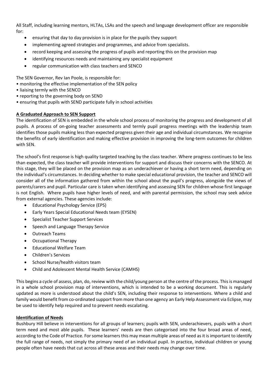All Staff, including learning mentors, HLTAs, LSAs and the speech and language development officer are responsible for:

- ensuring that day to day provision is in place for the pupils they support
- implementing agreed strategies and programmes, and advice from specialists.
- record keeping and assessing the progress of pupils and reporting this on the provision map
- identifying resources needs and maintaining any specialist equipment
- regular communication with class teachers and SENCO

The SEN Governor, Rev Ian Poole, is responsible for:

- monitoring the effective implementation of the SEN policy
- liaising termly with the SENCO
- reporting to the governing body on SEND
- ensuring that pupils with SEND participate fully in school activities

# **A Graduated Approach to SEN Support**

The identification of SEN is embedded in the whole school process of monitoring the progress and development of all pupils. A process of on-going teacher assessments and termly pupil progress meetings with the leadership team identifies those pupils making less than expected progress given their age and individual circumstances. We recognise the benefits of early identification and making effective provision in improving the long-term outcomes for children with SEN.

The school's first response is high quality targeted teaching by the class teacher. Where progress continues to be less than expected, the class teacher will provide interventions for support and discuss their concerns with the SENCO. At this stage, they will be placed on the provision map as an underachiever or having a short term need, depending on the individual's circumstances. In deciding whether to make special educational provision, the teacher and SENCO will consider all of the information gathered from within the school about the pupil's progress, alongside the views of parents/carers and pupil. Particular care is taken when identifying and assessing SEN for children whose first language is not English. Where pupils have higher levels of need, and with parental permission, the school may seek advice from external agencies. These agencies include:

- Educational Psychology Service (EPS)
- Early Years Special Educational Needs team (EYSEN)
- Specialist Teacher Support Services
- Speech and Language Therapy Service
- Outreach Teams
- Occupational Therapy
- Educational Welfare Team
- Children's Services
- School Nurse/health visitors team
- Child and Adolescent Mental Health Service (CAMHS)

This begins a cycle of assess, plan, do, review with the child/young person at the centre of the process. This is managed in a whole school provision map of interventions, which is intended to be a working document. This is regularly updated as more is understood about the child's SEN, including their response to interventions. Where a child and family would benefit from co-ordinated support from more than one agency an Early Help Assessment via Eclipse, may be used to identify help required and to prevent needs escalating.

# **Identification of Needs**

Bushbury Hill believe in interventions for all groups of learners; pupils with SEN, underachievers, pupils with a short term need and most able pupils. These learners' needs are then categorised into the four broad areas of need, according to the Code of Practice. For some learners this may mean multiple areas of need as it is important to identify the full range of needs, not simply the primary need of an individual pupil. In practice, individual children or young people often have needs that cut across all these areas and their needs may change over time.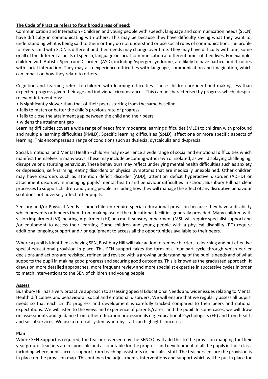## **The Code of Practice refers to four broad areas of need:**

Communication and Interaction - Children and young people with speech, language and communication needs (SLCN) have difficulty in communicating with others. This may be because they have difficulty saying what they want to, understanding what is being said to them or they do not understand or use social rules of communication. The profile for every child with SLCN is different and their needs may change over time. They may have difficulty with one, some or all of the different aspects of speech, language or social communication at different times of their lives. For example, children with Autistic Spectrum Disorders (ASD), including Asperger syndrome, are likely to have particular difficulties with social interaction. They may also experience difficulties with language, communication and imagination, which can impact on how they relate to others.

Cognition and Learning refers to children with learning difficulties. These children are identified making less than expected progress given their age and individual circumstances. This can be characterised by progress which, despite relevant interventions:

- is significantly slower than that of their peers starting from the same baseline
- fails to match or better the child's previous rate of progress
- fails to close the attainment gap between the child and their peers
- widens the attainment gap

Learning difficulties covers a wide range of needs from moderate learning difficulties (MLD) to children with profound and multiple learning difficulties (PMLD). Specific learning difficulties (SpLD), affect one or more specific aspects of learning. This encompasses a range of conditions such as dyslexia, dyscalculia and dyspraxia.

Social, Emotional and Mental Health - children may experience a wide range of social and emotional difficulties which manifest themselves in many ways. These may include becoming withdrawn or isolated, as well displaying challenging, disruptive or disturbing behaviour. These behaviours may reflect underlying mental health difficulties such as anxiety or depression, self-harming, eating disorders or physical symptoms that are medically unexplained. Other children may have disorders such as attention deficit disorder (ADD), attention deficit hyperactive disorder (ADHD) or attachment disorder. In managing pupils' mental health and behaviour difficulties in school, Bushbury Hill has clear processes to support children and young people, including how they will manage the effect of any disruptive behaviour so it does not adversely affect other pupils.

Sensory and/or Physical Needs - some children require special educational provision because they have a disability which prevents or hinders them from making use of the educational facilities generally provided. Many children with vision impairment (VI), hearing impairment (HI) or a multi-sensory impairment (MSI) will require specialist support and /or equipment to access their learning. Some children and young people with a physical disability (PD) require additional ongoing support and / or equipment to access all the opportunities available to their peers.

Where a pupil is identified as having SEN, Bushbury Hill will take action to remove barriers to learning and put effective special educational provision in place. This SEN support takes the form of a four-part cycle through which earlier decisions and actions are revisited, refined and revised with a growing understanding of the pupil's needs and of what supports the pupil in making good progress and securing good outcomes. This is known as the graduated approach. It draws on more detailed approaches, more frequent review and more specialist expertise in successive cycles in order to match interventions to the SEN of children and young people.

#### **Assess**

Bushbury Hill has a very proactive approach to assessing Special Educational Needs and wider issues relating to Mental Health difficulties and behavioural, social and emotional disorders. We will ensure that we regularly assess all pupils' needs so that each child's progress and development is carefully tracked compared to their peers and national expectations. We will listen to the views and experience of parents/carers and the pupil. In some cases, we will draw on assessments and guidance from other education professionals e.g. Educational Psychologists (EP) and from health and social services. We use a referral system whereby staff can highlight concerns.

#### **Plan**

Where SEN Support is required, the teacher overseen by the SENCO, will add this to the provision mapping for their year group. Teachers are responsible and accountable for the progress and development of all the pupils in their class, including where pupils access support from teaching assistants or specialist staff. The teachers ensure the provision is in place on the provision map. This outlines the adjustments, interventions and support which will be put in place for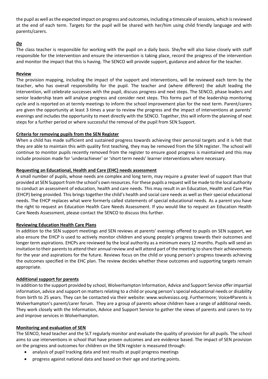the pupil as well as the expected impact on progress and outcomes, including a timescale of sessions, which is reviewed at the end of each term. Targets for the pupil will be shared with her/him using child friendly language and with parents/carers.

# *Do*

The class teacher is responsible for working with the pupil on a daily basis. She/he will also liaise closely with staff responsible for the intervention and ensure the intervention is taking place, record the progress of the intervention and monitor the impact that this is having. The SENCO will provide support, guidance and advice for the teacher.

#### **Review**

The provision mapping, including the impact of the support and interventions, will be reviewed each term by the teacher, who has overall responsibility for the pupil. The teacher and (where different) the adult leading the intervention, will celebrate successes with the pupil, discuss progress and next steps. The SENCO, phase leaders and senior leadership team will analyse progress and consider next steps. This forms part of the leadership monitoring cycle and is reported on at termly meetings to inform the school improvement plan for the next term. Parent/carers are given the opportunity at least 3 times a year to review the progress and the impact of interventions at parents' evenings and includes the opportunity to meet directly with the SENCO. Together, this will inform the planning of next steps for a further period or where successful the removal of the pupil from SEN Support.

# **Criteria for removing pupils from the SEN Register**

When a child has made sufficient and sustained progress towards achieving their personal targets and it is felt that they are able to maintain this with quality first teaching, they may be removed from the SEN register. The school will continue to monitor pupils recently removed from the register to ensure good progress is maintained and this may include provision made for 'underachiever' or 'short term needs' learner interventions where necessary.

#### **Requesting an Educational, Health and Care (EHC) needs assessment**

A small number of pupils, whose needs are complex and long term, may require a greater level of support than that provided at SEN Support from the school's own resources. For these pupils a request will be made to the local authority to conduct an assessment of education, health and care needs. This may result in an Education, Health and Care Plan (EHCP) being provided. This brings together the child's health and social care needs as well as their special educational needs. The EHCP replaces what were formerly called statements of special educational needs. As a parent you have the right to request an Education Health Care Needs Assessment. If you would like to request an Education Health Care Needs Assessment, please contact the SENCO to discuss this further.

# **Reviewing Education Health Care Plans**

In addition to the SEN support meetings and SEN reviews at parents' evenings offered to pupils on SEN support, we also ensure the EHCP is used to actively monitor children and young people's progress towards their outcomes and longer term aspirations. EHCPs are reviewed by the local authority as a minimum every 12 months. Pupils will send an invitation to their parents to attend their annual review and will attend part of the meeting to share their achievements for the year and aspirations for the future. Reviews focus on the child or young person's progress towards achieving the outcomes specified in the EHC plan. The review decides whether these outcomes and supporting targets remain appropriate.

# **Additional support for parents**

In addition to the support provided by school, Wolverhampton Information, Advice and Support Service offer impartial information, advice and support on matters relating to a child or young person's special educational needs or disability from birth to 25 years. They can be contacted via their website: www.wolvesiass.org. Furthermore; Voice4Parents is Wolverhampton's parent/carer forum. They are a group of parents whose children have a range of additional needs. They work closely with the Information, Advice and Support Service to gather the views of parents and carers to try and improve services in Wolverhampton.

#### **Monitoring and evaluation of SEN**

The SENCO, head teacher and the SLT regularly monitor and evaluate the quality of provision for all pupils. The school aims to use interventions in school that have proven outcomes and are evidence based. The impact of SEN provision on the progress and outcomes for children on the SEN register is measured through:

- analysis of pupil tracking data and test results at pupil progress meetings
- progress against national data and based on their age and starting points.